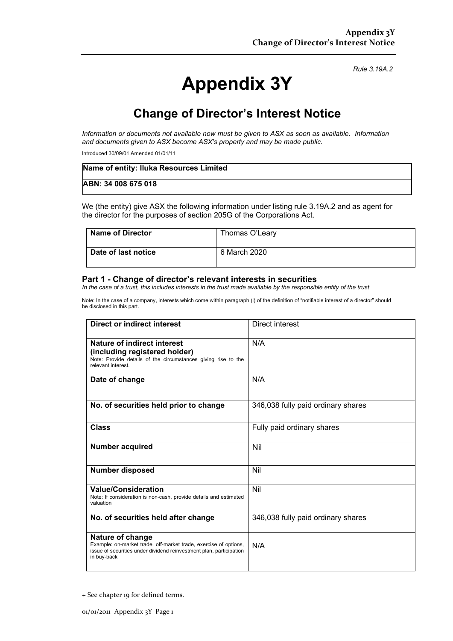# **Appendix 3Y**

*Rule 3.19A.2*

## **Change of Director's Interest Notice**

*Information or documents not available now must be given to ASX as soon as available. Information and documents given to ASX become ASX's property and may be made public.*

Introduced 30/09/01 Amended 01/01/11

| Name of entity: Iluka Resources Limited |  |
|-----------------------------------------|--|
| ABN: 34 008 675 018                     |  |

We (the entity) give ASX the following information under listing rule 3.19A.2 and as agent for the director for the purposes of section 205G of the Corporations Act.

| <b>Name of Director</b> | Thomas O'Leary |
|-------------------------|----------------|
| Date of last notice     | 6 March 2020   |

#### **Part 1 - Change of director's relevant interests in securities**

*In the case of a trust, this includes interests in the trust made available by the responsible entity of the trust*

Note: In the case of a company, interests which come within paragraph (i) of the definition of "notifiable interest of a director" should be disclosed in this part.

| <b>Direct or indirect interest</b>                                                                                                                                         | Direct interest                    |
|----------------------------------------------------------------------------------------------------------------------------------------------------------------------------|------------------------------------|
| Nature of indirect interest<br>(including registered holder)<br>Note: Provide details of the circumstances giving rise to the<br>relevant interest.                        | N/A                                |
| Date of change                                                                                                                                                             | N/A                                |
| No. of securities held prior to change                                                                                                                                     | 346,038 fully paid ordinary shares |
| <b>Class</b>                                                                                                                                                               | Fully paid ordinary shares         |
| <b>Number acquired</b>                                                                                                                                                     | Nil                                |
| Number disposed                                                                                                                                                            | Nil                                |
| <b>Value/Consideration</b><br>Note: If consideration is non-cash, provide details and estimated<br>valuation                                                               | Nil                                |
| No. of securities held after change                                                                                                                                        | 346,038 fully paid ordinary shares |
| Nature of change<br>Example: on-market trade, off-market trade, exercise of options,<br>issue of securities under dividend reinvestment plan, participation<br>in buy-back | N/A                                |

<sup>+</sup> See chapter 19 for defined terms.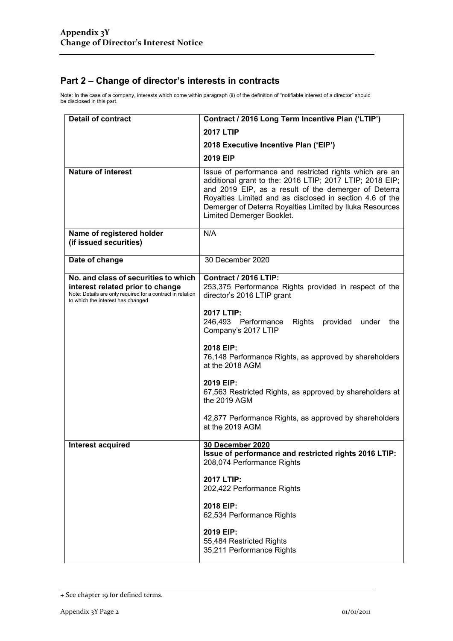### **Part 2 – Change of director's interests in contracts**

Note: In the case of a company, interests which come within paragraph (ii) of the definition of "notifiable interest of a director" should be disclosed in this part.

| <b>Detail of contract</b>                                                                                                                                                   | Contract / 2016 Long Term Incentive Plan ('LTIP')                                                                                                                                                                                                                                                                                |  |
|-----------------------------------------------------------------------------------------------------------------------------------------------------------------------------|----------------------------------------------------------------------------------------------------------------------------------------------------------------------------------------------------------------------------------------------------------------------------------------------------------------------------------|--|
|                                                                                                                                                                             | <b>2017 LTIP</b>                                                                                                                                                                                                                                                                                                                 |  |
|                                                                                                                                                                             | 2018 Executive Incentive Plan ('EIP')                                                                                                                                                                                                                                                                                            |  |
|                                                                                                                                                                             | 2019 EIP                                                                                                                                                                                                                                                                                                                         |  |
| <b>Nature of interest</b>                                                                                                                                                   | Issue of performance and restricted rights which are an<br>additional grant to the: 2016 LTIP; 2017 LTIP; 2018 EIP;<br>and 2019 EIP, as a result of the demerger of Deterra<br>Royalties Limited and as disclosed in section 4.6 of the<br>Demerger of Deterra Royalties Limited by Iluka Resources<br>Limited Demerger Booklet. |  |
| Name of registered holder<br>(if issued securities)                                                                                                                         | N/A                                                                                                                                                                                                                                                                                                                              |  |
| Date of change                                                                                                                                                              | 30 December 2020                                                                                                                                                                                                                                                                                                                 |  |
| No. and class of securities to which<br>interest related prior to change<br>Note: Details are only required for a contract in relation<br>to which the interest has changed | Contract / 2016 LTIP:<br>253,375 Performance Rights provided in respect of the<br>director's 2016 LTIP grant                                                                                                                                                                                                                     |  |
|                                                                                                                                                                             | 2017 LTIP:<br>246,493 Performance<br>Rights<br>provided<br>under<br>the<br>Company's 2017 LTIP                                                                                                                                                                                                                                   |  |
|                                                                                                                                                                             | 2018 EIP:<br>76,148 Performance Rights, as approved by shareholders<br>at the 2018 AGM                                                                                                                                                                                                                                           |  |
|                                                                                                                                                                             | 2019 EIP:<br>67,563 Restricted Rights, as approved by shareholders at<br>the 2019 AGM                                                                                                                                                                                                                                            |  |
|                                                                                                                                                                             | 42,877 Performance Rights, as approved by shareholders<br>at the 2019 AGM                                                                                                                                                                                                                                                        |  |
| Interest acquired                                                                                                                                                           | <b>30 December 2020</b><br>Issue of performance and restricted rights 2016 LTIP:<br>208,074 Performance Rights                                                                                                                                                                                                                   |  |
|                                                                                                                                                                             | 2017 LTIP:<br>202,422 Performance Rights                                                                                                                                                                                                                                                                                         |  |
|                                                                                                                                                                             | 2018 EIP:<br>62,534 Performance Rights                                                                                                                                                                                                                                                                                           |  |
|                                                                                                                                                                             | 2019 EIP:<br>55,484 Restricted Rights<br>35,211 Performance Rights                                                                                                                                                                                                                                                               |  |

<sup>+</sup> See chapter 19 for defined terms.